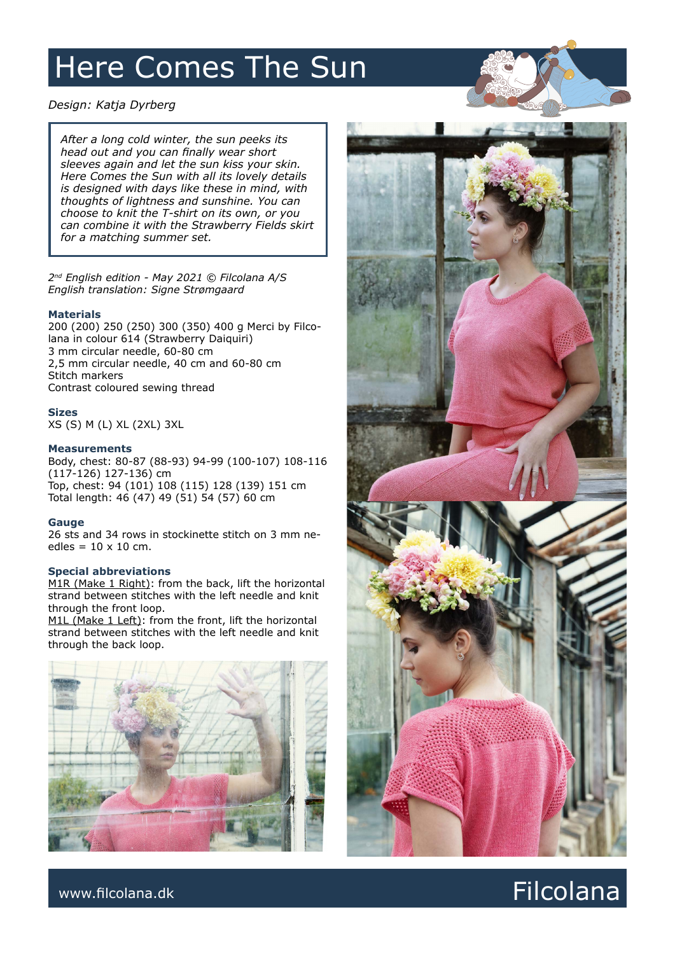## Here Comes The Sun

### *Design: Katja Dyrberg*

*After a long cold winter, the sun peeks its head out and you can finally wear short sleeves again and let the sun kiss your skin. Here Comes the Sun with all its lovely details is designed with days like these in mind, with thoughts of lightness and sunshine. You can choose to knit the T-shirt on its own, or you can combine it with the Strawberry Fields skirt for a matching summer set.*

*2nd English edition - May 2021 © Filcolana A/S English translation: Signe Strømgaard*

#### **Materials**

200 (200) 250 (250) 300 (350) 400 g Merci by Filcolana in colour 614 (Strawberry Daiquiri) 3 mm circular needle, 60-80 cm 2,5 mm circular needle, 40 cm and 60-80 cm Stitch markers Contrast coloured sewing thread

### **Sizes**

XS (S) M (L) XL (2XL) 3XL

#### **Measurements**

Body, chest: 80-87 (88-93) 94-99 (100-107) 108-116 (117-126) 127-136) cm Top, chest: 94 (101) 108 (115) 128 (139) 151 cm Total length: 46 (47) 49 (51) 54 (57) 60 cm

#### **Gauge**

26 sts and 34 rows in stockinette stitch on 3 mm needles =  $10 \times 10$  cm.

### **Special abbreviations**

M1R (Make 1 Right): from the back, lift the horizontal strand between stitches with the left needle and knit through the front loop.

M1L (Make 1 Left): from the front, lift the horizontal strand between stitches with the left needle and knit through the back loop.





### www.filcolana.dk **Filcolana.dk** Reserves and the set of the set of the set of the set of the set of the set of the set of the set of the set of the set of the set of the set of the set of the set of the set of the set of t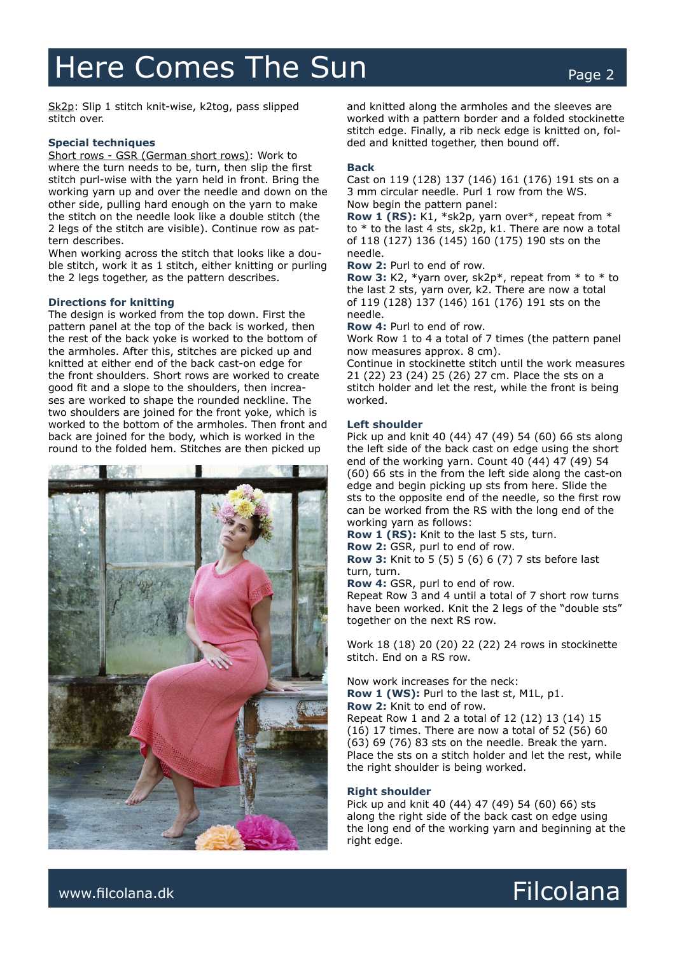## Here Comes The Sun Page 2

Sk2p: Slip 1 stitch knit-wise, k2tog, pass slipped stitch over.

### **Special techniques**

Short rows - GSR (German short rows): Work to where the turn needs to be, turn, then slip the first stitch purl-wise with the yarn held in front. Bring the working yarn up and over the needle and down on the other side, pulling hard enough on the yarn to make the stitch on the needle look like a double stitch (the 2 legs of the stitch are visible). Continue row as pattern describes.

When working across the stitch that looks like a double stitch, work it as 1 stitch, either knitting or purling the 2 legs together, as the pattern describes.

#### **Directions for knitting**

The design is worked from the top down. First the pattern panel at the top of the back is worked, then the rest of the back yoke is worked to the bottom of the armholes. After this, stitches are picked up and knitted at either end of the back cast-on edge for the front shoulders. Short rows are worked to create good fit and a slope to the shoulders, then increases are worked to shape the rounded neckline. The two shoulders are joined for the front yoke, which is worked to the bottom of the armholes. Then front and back are joined for the body, which is worked in the round to the folded hem. Stitches are then picked up



and knitted along the armholes and the sleeves are worked with a pattern border and a folded stockinette stitch edge. Finally, a rib neck edge is knitted on, folded and knitted together, then bound off.

#### **Back**

Cast on 119 (128) 137 (146) 161 (176) 191 sts on a 3 mm circular needle. Purl 1 row from the WS. Now begin the pattern panel:

**Row 1 (RS):** K1, \*sk2p, yarn over\*, repeat from \* to \* to the last 4 sts, sk2p, k1. There are now a total of 118 (127) 136 (145) 160 (175) 190 sts on the needle.

**Row 2:** Purl to end of row.

**Row 3:** K2, \*yarn over, sk2p\*, repeat from \* to \* to the last 2 sts, yarn over, k2. There are now a total of 119 (128) 137 (146) 161 (176) 191 sts on the needle.

**Row 4:** Purl to end of row.

Work Row 1 to 4 a total of 7 times (the pattern panel now measures approx. 8 cm).

Continue in stockinette stitch until the work measures 21 (22) 23 (24) 25 (26) 27 cm. Place the sts on a stitch holder and let the rest, while the front is being worked.

#### **Left shoulder**

Pick up and knit 40 (44) 47 (49) 54 (60) 66 sts along the left side of the back cast on edge using the short end of the working yarn. Count 40 (44) 47 (49) 54 (60) 66 sts in the from the left side along the cast-on edge and begin picking up sts from here. Slide the sts to the opposite end of the needle, so the first row can be worked from the RS with the long end of the working yarn as follows:

**Row 1 (RS):** Knit to the last 5 sts, turn.

**Row 2:** GSR, purl to end of row.

**Row 3:** Knit to 5 (5) 5 (6) 6 (7) 7 sts before last turn, turn.

**Row 4:** GSR, purl to end of row.

Repeat Row 3 and 4 until a total of 7 short row turns have been worked. Knit the 2 legs of the "double sts" together on the next RS row.

Work 18 (18) 20 (20) 22 (22) 24 rows in stockinette stitch. End on a RS row.

Now work increases for the neck: **Row 1 (WS):** Purl to the last st, M1L, p1. **Row 2:** Knit to end of row. Repeat Row 1 and 2 a total of 12 (12) 13 (14) 15 (16) 17 times. There are now a total of 52 (56) 60 (63) 69 (76) 83 sts on the needle. Break the yarn. Place the sts on a stitch holder and let the rest, while the right shoulder is being worked.

#### **Right shoulder**

Pick up and knit 40 (44) 47 (49) 54 (60) 66) sts along the right side of the back cast on edge using the long end of the working yarn and beginning at the right edge.

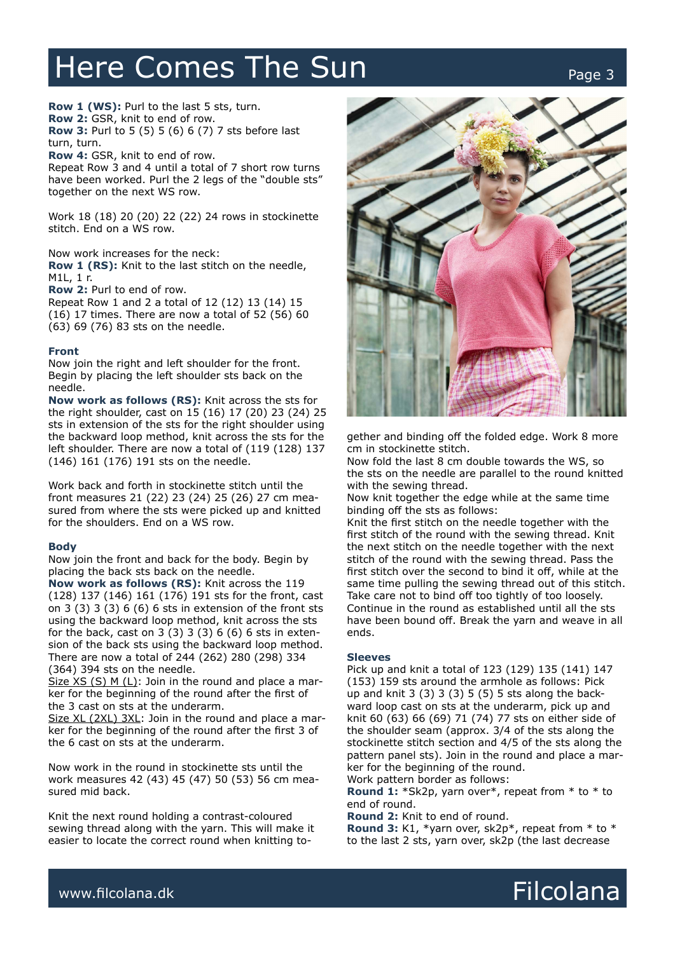### Here Comes The Sun

**Row 1 (WS):** Purl to the last 5 sts, turn.

**Row 2:** GSR, knit to end of row.

**Row 3:** Purl to 5 (5) 5 (6) 6 (7) 7 sts before last turn, turn.

**Row 4:** GSR, knit to end of row.

Repeat Row 3 and 4 until a total of 7 short row turns have been worked. Purl the 2 legs of the "double sts" together on the next WS row.

Work 18 (18) 20 (20) 22 (22) 24 rows in stockinette stitch. End on a WS row.

Now work increases for the neck:

**Row 1 (RS):** Knit to the last stitch on the needle, M1L, 1 r.

**Row 2:** Purl to end of row.

Repeat Row 1 and 2 a total of 12 (12) 13 (14) 15 (16) 17 times. There are now a total of 52 (56) 60 (63) 69 (76) 83 sts on the needle.

#### **Front**

Now join the right and left shoulder for the front. Begin by placing the left shoulder sts back on the needle.

**Now work as follows (RS):** Knit across the sts for the right shoulder, cast on 15 (16) 17 (20) 23 (24) 25 sts in extension of the sts for the right shoulder using the backward loop method, knit across the sts for the left shoulder. There are now a total of (119 (128) 137 (146) 161 (176) 191 sts on the needle.

Work back and forth in stockinette stitch until the front measures 21 (22) 23 (24) 25 (26) 27 cm measured from where the sts were picked up and knitted for the shoulders. End on a WS row.

#### **Body**

Now join the front and back for the body. Begin by placing the back sts back on the needle.

**Now work as follows (RS):** Knit across the 119 (128) 137 (146) 161 (176) 191 sts for the front, cast on 3 (3) 3 (3) 6 (6) 6 sts in extension of the front sts using the backward loop method, knit across the sts for the back, cast on 3 (3) 3 (3) 6 (6) 6 sts in extension of the back sts using the backward loop method. There are now a total of 244 (262) 280 (298) 334 (364) 394 sts on the needle.

Size XS  $(S)$  M  $(L)$ : Join in the round and place a marker for the beginning of the round after the first of the 3 cast on sts at the underarm.

Size XL (2XL) 3XL: Join in the round and place a marker for the beginning of the round after the first 3 of the 6 cast on sts at the underarm.

Now work in the round in stockinette sts until the work measures 42 (43) 45 (47) 50 (53) 56 cm measured mid back.

Knit the next round holding a contrast-coloured sewing thread along with the yarn. This will make it easier to locate the correct round when knitting to-



gether and binding off the folded edge. Work 8 more cm in stockinette stitch.

Now fold the last 8 cm double towards the WS, so the sts on the needle are parallel to the round knitted with the sewing thread.

Now knit together the edge while at the same time binding off the sts as follows:

Knit the first stitch on the needle together with the first stitch of the round with the sewing thread. Knit the next stitch on the needle together with the next stitch of the round with the sewing thread. Pass the first stitch over the second to bind it off, while at the same time pulling the sewing thread out of this stitch. Take care not to bind off too tightly of too loosely. Continue in the round as established until all the sts have been bound off. Break the yarn and weave in all ends.

#### **Sleeves**

Pick up and knit a total of 123 (129) 135 (141) 147 (153) 159 sts around the armhole as follows: Pick up and knit 3 (3) 3 (3) 5 (5) 5 sts along the backward loop cast on sts at the underarm, pick up and knit 60 (63) 66 (69) 71 (74) 77 sts on either side of the shoulder seam (approx. 3/4 of the sts along the stockinette stitch section and 4/5 of the sts along the pattern panel sts). Join in the round and place a marker for the beginning of the round. Work pattern border as follows:

**Round 1:** \*Sk2p, yarn over\*, repeat from \* to \* to end of round.

**Round 2:** Knit to end of round.

**Round 3:** K1, \*yarn over, sk2p\*, repeat from \* to \* to the last 2 sts, yarn over, sk2p (the last decrease